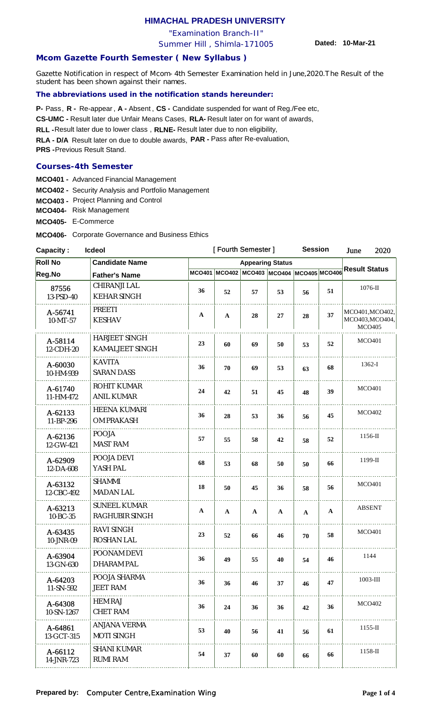# **HIMACHAL PRADESH UNIVERSITY**

"Examination Branch-II"

Summer Hill , Shimla-171005

**Dated: 10-Mar-21**

## **Mcom Gazette Fourth Semester ( New Syllabus )**

Gazette Notification in respect of Mcom-4th Semester Examination held in June,2020.The Result of the student has been shown against their names.

#### **The abbreviations used in the notification stands hereunder:**

**P-** Pass, **R** - Re-appear, **A** - Absent, CS - Candidate suspended for want of Reg./Fee etc,

CS-UMC - Result later due Unfair Means Cases, RLA- Result later on for want of awards,

RLL - Result later due to lower class, RLNE- Result later due to non eligibility,

**RLA - D/A** Result later on due to double awards, **PAR -**  Pass after Re-evaluation,

**PRS - Previous Result Stand.** 

#### **Courses-4th Semester**

**MCO401 -** Advanced Financial Management

- **MCO402 -** Security Analysis and Portfolio Management
- **MCO403 -** Project Planning and Control

**MCO404-** Risk Management

**MCO405-** E-Commerce

**MCO406-** Corporate Governance and Business Ethics

| <b>Capacity:</b><br><b>Icdeol</b>       |                                          |                                                                                    | [Fourth Semester] |              |              |              | <b>Session</b> |                                                     | 2020          |
|-----------------------------------------|------------------------------------------|------------------------------------------------------------------------------------|-------------------|--------------|--------------|--------------|----------------|-----------------------------------------------------|---------------|
| <b>Roll No</b><br><b>Candidate Name</b> |                                          | <b>Appearing Status</b><br>MCO401 MCO402 MCO403 MCO404 MCO405 MCO406 Result Status |                   |              |              |              |                |                                                     |               |
| Reg.No                                  | <b>Father's Name</b>                     |                                                                                    |                   |              |              |              |                |                                                     |               |
| 87556<br>13-PSD-40                      | CHIRANJI LAL<br><b>KEHAR SINGH</b>       | 36                                                                                 | 52                | 57           | 53           | 56           | 51             |                                                     | $1076$ -II    |
| A-56741<br>$10-MT-57$                   | PREETI<br><b>KESHAV</b>                  | $\mathbf{A}$                                                                       | $\mathbf{A}$      | 28           | 27           | 28           | 37             | MCO401, MCO402,<br>MCO403, MCO404,<br><b>MCO405</b> |               |
| A-58114<br>12-CDH-20                    | <b>HARJEET SINGH</b><br>KAMALJEET SINGH  | 23                                                                                 | 60                | 69           | 50           | 53           | 52             | <b>MCO401</b>                                       |               |
| A-60030<br>10-HM-939                    | <b>KAVITA</b><br><b>SARAN DASS</b>       | 36                                                                                 | 70                | 69           | 53           | 63           | 68             | $1362-I$                                            |               |
| A-61740<br>11-HM-472                    | ROHIT KUMAR<br><b>ANIL KUMAR</b>         | 24                                                                                 | 42                | 51           | 45           | 48           | 39             | <b>MCO401</b>                                       |               |
| A-62133<br>11-BP-296                    | <b>HEENA KUMARI</b><br>OM PRAKASH        | 36                                                                                 | 28                | 53           | 36           | 56           | 45             | <b>MCO402</b>                                       |               |
| A-62136<br>12-GW-421                    | <b>POOJA</b><br><b>MAST RAM</b>          | 57                                                                                 | 55                | 58           | 42           | 58           | 52             |                                                     | $1156$ -II    |
| A-62909<br>12-DA-608                    | POOJA DEVI<br>YASH PAL                   | 68                                                                                 | 53                | 68           | 50           | 50           | 66             | 1199-II                                             |               |
| A-63132<br>12-CBC-492                   | <b>SHAMMI</b><br><b>MADAN LAL</b>        | 18                                                                                 | 50                | 45           | 36           | 58           | 56             |                                                     | <b>MCO401</b> |
| A-63213<br>10-BC-35                     | <b>SUNEEL KUMAR</b><br>RAGHUBIR SINGH    | $\mathbf{A}$                                                                       | $\mathbf{A}$      | $\mathbf{A}$ | $\mathbf{A}$ | $\mathbf{A}$ | $\mathbf{A}$   | <b>ABSENT</b>                                       |               |
| A-63435<br>10-JNR-09                    | <b>RAVI SINGH</b><br><b>ROSHAN LAL</b>   | 23                                                                                 | 52                | 66           | 46           | 70           | 58             | <b>MCO401</b>                                       |               |
| A-63904<br>13-GN-630                    | POONAM DEVI<br><b>DHARAM PAL</b>         | 36                                                                                 | 49                | 55           | 40           | 54           | 46             | 1144                                                |               |
| A-64203<br>11-SN-592                    | POOJA SHARMA<br><b>JEET RAM</b>          | 36                                                                                 | 36                | 46           | 37           | 46           | 47             | $1003$ -III                                         |               |
| A-64308<br>10-SN-1267                   | <b>HEM RAJ</b><br><b>CHET RAM</b>        | 36                                                                                 | 24                | 36           | 36           | 42           | 36             | <b>MCO402</b>                                       |               |
| A-64861<br>13-GCT-315                   | <b>ANJANA VERMA</b><br><b>MOTI SINGH</b> | 53                                                                                 | 40                | 56           | 41           | 56           | 61             |                                                     | $1155$ -II    |
| A-66112<br>14-JNR-723                   | <b>SHANI KUMAR</b><br><b>RUMI RAM</b>    | 54                                                                                 | 37                | 60           | 60           | 66           | 66             |                                                     | 1158-II       |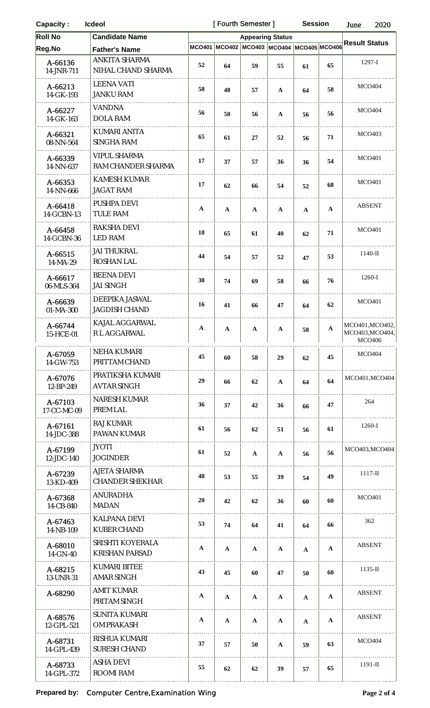| <b>Capacity:</b><br><b>Icdeol</b> |                                           |              | [Fourth Semester]       |                                           |              |              | <b>Session</b> | June<br>2020                                        |  |
|-----------------------------------|-------------------------------------------|--------------|-------------------------|-------------------------------------------|--------------|--------------|----------------|-----------------------------------------------------|--|
| <b>Roll No</b>                    | <b>Candidate Name</b>                     |              | <b>Appearing Status</b> |                                           |              |              |                |                                                     |  |
| Reg.No                            | <b>Father's Name</b>                      |              |                         | MCO401 MCO402 MCO403 MCO404 MCO405 MCO406 |              |              |                | <b>Result Status</b>                                |  |
| A-66136<br>14-JNR-711             | ANKITA SHARMA<br>NIHAL CHAND SHARMA       | 52           | 64                      | 59                                        | 55           | 61           | 65             | $1297-I$                                            |  |
| A-66213<br>14-GK-193              | <b>LEENA VATI</b><br><b>JANKU RAM</b>     | 58           | 48                      | 57                                        | $\mathbf A$  | 64           | 58             | <b>MCO404</b>                                       |  |
| A-66227<br>14-GK-163              | <b>VANDNA</b><br><b>DOLA RAM</b>          | 56           | 50                      | 56                                        | $\mathbf A$  | 56           | 56             | <b>MCO404</b>                                       |  |
| A-66321<br>08-NN-564              | KUMARI ANITA<br><b>SINGHA RAM</b>         | 65           | 61                      | 27                                        | 52           | 56           | 71             | <b>MCO403</b>                                       |  |
| A-66339<br>14-NN-637              | <b>VIPUL SHARMA</b><br>RAM CHANDER SHARMA | 17           | 37                      | 57                                        | 36           | 36           | 54             | <b>MCO401</b>                                       |  |
| A-66353<br>14-NN-666              | KAMESH KUMAR<br><b>JAGAT RAM</b>          | 17           | 62                      | 66                                        | 54           | 52           | 68             | <b>MCO401</b>                                       |  |
| A-66418<br>14-GCBN-13             | PUSHPA DEVI<br>TULE RAM                   | $\mathbf{A}$ | $\mathbf{A}$            | $\mathbf{A}$                              | $\mathbf{A}$ | $\mathbf{A}$ | $\mathbf{A}$   | <b>ABSENT</b>                                       |  |
| A-66458<br>14-GCBN-36             | RAKSHA DEVI<br><b>LED RAM</b>             | 18           | 65                      | 61                                        | 40           | 62           | 71             | <b>MCO401</b>                                       |  |
| A-66515<br>14-MA-29               | <b>JAI THUKRAL</b><br>ROSHAN LAL          | 44           | 54                      | 57                                        | 52           | 47           | 53             | $1140-II$                                           |  |
| A-66617<br>06-MLS-364             | <b>BEENA DEVI</b><br><b>JAI SINGH</b>     | 38           | 74                      | 69                                        | 58           | 66           | 76             | 1260-I                                              |  |
| A-66639<br>01-MA-300              | DEEPIKA JASWAL<br><b>JAGDISH CHAND</b>    | 16           | 41                      | 66                                        | 47           | 64           | 62             | <b>MCO401</b>                                       |  |
| A-66744<br>15-HCE-01              | KAJAL AGGARWAL<br>R L AGGARWAL            | A            | $\mathbf{A}$            | $\mathbf{A}$                              | $\mathbf{A}$ | 58           | $\mathbf A$    | MCO401, MCO402,<br>MCO403, MCO404,<br><b>MCO406</b> |  |
| A-67059<br>14-GW-753              | <b>NEHA KUMARI</b><br>PRITTAM CHAND       | 45           | 60                      | 58                                        | 29           | 62           | 45             | <b>MCO404</b>                                       |  |
| A-67076<br>12-BP-249              | PRATIKSHA KUMARI<br><b>AVTAR SINGH</b>    | 29           | 66                      | 62                                        | $\mathbf{A}$ | 64           | 64             | MCO401, MCO404                                      |  |
| A-67103<br>17-CC-MC-09            | NARESH KUMAR<br>PREM LAL                  | 36           | 37                      | 42                                        | 36           | 66           | 47             | 264                                                 |  |
| A-67161<br>14-JDC-388             | RAJ KUMAR<br>PAWAN KUMAR                  | 61           | 56                      | 62                                        | 51           | 56           | 61             | $1260-I$                                            |  |
| A-67199<br>12-JDC-140             | <b>JYOTI</b><br><b>JOGINDER</b>           | 61           | 52                      | $\mathbf{A}$                              | $\mathbf{A}$ | 56           | 56             | MCO403, MCO404                                      |  |
| A-67239<br>13-KD-409              | AJETA SHARMA<br><b>CHANDER SHEKHAR</b>    | 48           | 53                      | 55                                        | 39           | 54           | 49             | $1117 - H$                                          |  |
| A-67368<br>14-CB-840              | <b>ANURADHA</b><br><b>MADAN</b>           | 20           | 42                      | 62                                        | 36           | 60           | 60             | <b>MCO401</b>                                       |  |
| A-67463<br>14-NB-109              | KALPANA DEVI<br>KUBER CHAND               | 53           | 74                      | 64                                        | 41           | 64           | 66             | 362                                                 |  |
| A-68010<br>$14$ -GN-40            | SRISHTI KOYERALA<br><b>KRISHAN PARSAD</b> | $\mathbf{A}$ | $\mathbf{A}$            | $\mathbf{A}$                              | $\mathbf{A}$ | $\mathbf A$  | $\mathbf{A}$   | <b>ABSENT</b>                                       |  |
| A-68215<br>13-UNR-31              | KUMARI BITEE<br><b>AMAR SINGH</b>         | 43           | 45                      | 60                                        | 47           | 50           | 60             | $1135$ -II                                          |  |
| A-68290                           | AMIT KUMAR<br>PRITAM SINGH                | $\mathbf{A}$ | $\mathbf{A}$            | $\mathbf{A}$                              | $\mathbf{A}$ | $\mathbf{A}$ | A              | <b>ABSENT</b>                                       |  |
| A-68576<br>12-GPL-521             | <b>SUNITA KUMARI</b><br>OM PRAKASH        | $\mathbf{A}$ | $\mathbf{A}$            | A                                         | $\mathbf{A}$ | $\mathbf{A}$ | A              | <b>ABSENT</b>                                       |  |
| A-68731<br>14-GPL-439             | RISHUA KUMARI<br>SURESH CHAND             | 37           | 57                      | 50                                        | $\mathbf{A}$ | 59           | 63             | <b>MCO404</b>                                       |  |
| A-68733<br>14-GPL-372             | ASHA DEVI<br>ROOMI RAM                    | 55           | 62                      | 62                                        | 39           | 57           | 65             | $1191 - II$                                         |  |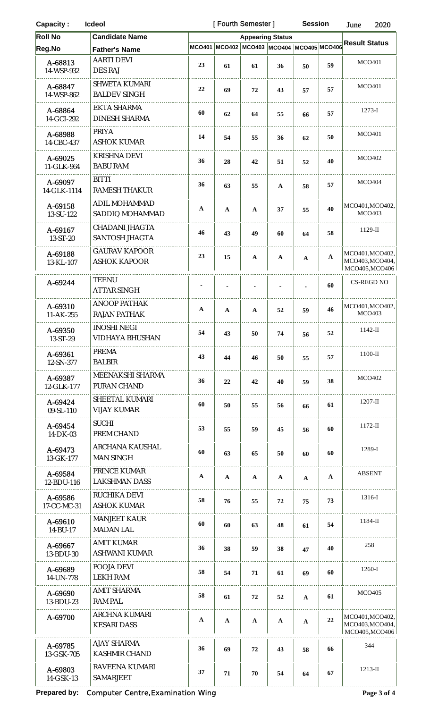| <b>Capacity:</b><br>Icdeol |                                             |                | [Fourth Semester] |                                    | <b>Session</b>          |              | 2020<br>June |                                                      |  |
|----------------------------|---------------------------------------------|----------------|-------------------|------------------------------------|-------------------------|--------------|--------------|------------------------------------------------------|--|
| <b>Roll No</b>             | <b>Candidate Name</b>                       |                |                   |                                    | <b>Appearing Status</b> |              |              |                                                      |  |
| Reg.No                     | <b>Father's Name</b>                        | MCO401         |                   | MCO402 MCO403 MCO404 MCO405 MCO406 |                         |              |              | <b>Result Status</b>                                 |  |
| A-68813<br>14-WSP-932      | <b>AARTI DEVI</b><br><b>DES RAJ</b>         | 23             | 61                | 61                                 | 36                      | 50           | 59           | <b>MCO401</b>                                        |  |
| A-68847<br>14-WSP-862      | <b>SHWETA KUMARI</b><br><b>BALDEV SINGH</b> | 22             | 69                | 72                                 | 43                      | 57           | 57           | <b>MCO401</b>                                        |  |
| A-68864<br>14-GCI-292      | EKTA SHARMA<br><b>DINESH SHARMA</b>         | 60             | 62                | 64                                 | 55                      | 66           | 57           | $1273 - I$                                           |  |
| A-68988<br>14-CBC-437      | PRIYA<br><b>ASHOK KUMAR</b>                 | 14             | 54                | 55                                 | 36                      | 62           | 50           | <b>MCO401</b>                                        |  |
| A-69025<br>11-GLK-964      | <b>KRISHNA DEVI</b><br><b>BABU RAM</b>      | 36             | 28                | 42                                 | 51                      | 52           | 40           | <b>MCO402</b>                                        |  |
| A-69097<br>14-GLK-1114     | <b>BITTI</b><br><b>RAMESH THAKUR</b>        | 36             | 63                | 55                                 | $\mathbf{A}$            | 58           | 57           | <b>MCO404</b>                                        |  |
| A-69158<br>13-SU-122       | <b>ADIL MOHAMMAD</b><br>SADDIQ MOHAMMAD     | $\mathbf A$    | A                 | $\mathbf{A}$                       | 37                      | 55           | 40           | MCO401, MCO402,<br><b>MCO403</b>                     |  |
| A-69167<br>13-ST-20        | CHADANI JHAGTA<br>SANTOSH JHAGTA            | 46             | 43                | 49                                 | 60                      | 64           | 58           | $1129-H$                                             |  |
| A-69188<br>13-KL-107       | <b>GAURAV KAPOOR</b><br><b>ASHOK KAPOOR</b> | 23             | 15                | $\mathbf A$                        | $\mathbf{A}$            | $\mathbf{A}$ | $\mathbf{A}$ | MCO401, MCO402,<br>MCO403, MCO404,<br>MCO405, MCO406 |  |
| A-69244                    | <b>TEENU</b><br><b>ATTAR SINGH</b>          | $\blacksquare$ |                   |                                    |                         |              | 60           | <b>CS-REGD NO</b>                                    |  |
| A-69310<br>11-AK-255       | <b>ANOOP PATHAK</b><br><b>RAJAN PATHAK</b>  | $\mathbf A$    | $\mathbf{A}$      | $\mathbf{A}$                       | 52                      | 59           | 46           | MCO401, MCO402,<br><b>MCO403</b>                     |  |
| A-69350<br>13-ST-29        | <b>INOSHI NEGI</b><br>VIDHAYA BHUSHAN       | 54             | 43                | 50                                 | 74                      | 56           | 52           | $1142$ -II                                           |  |
| A-69361<br>12-SN-377       | <b>PREMA</b><br><b>BALBIR</b>               | 43             | 44                | 46                                 | 50                      | 55           | 57           | $1100-II$                                            |  |
| A-69387<br>12-GLK-177      | MEENAKSHI SHARMA<br>PURAN CHAND             | 36             | 22                | 42                                 | 40                      | 59           | 38           | <b>MCO402</b>                                        |  |
| A-69424<br>09-SL-110       | SHEETAL KUMARI<br><b>VIJAY KUMAR</b>        | 60             | 50                | 55                                 | 56                      | 66           | 61           | $1207 - H$                                           |  |
| A-69454<br>14-DK-03        | <b>SUCHI</b><br>PREM CHAND                  | 53             | 55                | 59                                 | 45                      | 56           | 60           | $1172$ -II                                           |  |
| A-69473<br>13-GK-177       | ARCHANA KAUSHAL<br><b>MAN SINGH</b>         | 60             | 63                | 65                                 | 50                      | 60           | 60           | 1289-I                                               |  |
| A-69584<br>12-BDU-116      | PRINCE KUMAR<br><b>LAKSHMAN DASS</b>        | $\mathbf{A}$   | $\mathbf{A}$      | $\mathbf{A}$                       | $\mathbf{A}$            | $\mathbf{A}$ | A            | <b>ABSENT</b>                                        |  |
| A-69586<br>17-CC-MC-31     | RUCHIKA DEVI<br><b>ASHOK KUMAR</b>          | 58             | 76                | 55                                 | 72                      | 75           | 73           | 1316-I                                               |  |
| A-69610<br>14-BU-17        | <b>MANJEET KAUR</b><br><b>MADAN LAL</b>     | 60             | 60                | 63                                 | 48                      | 61           | 54           | $1184-II$                                            |  |
| A-69667<br>13-BDU-30       | <b>AMIT KUMAR</b><br><b>ASHWANI KUMAR</b>   | 36             | 38                | 59                                 | 38                      | 47           | 40           | 258                                                  |  |
| A-69689<br>14-UN-778       | POOJA DEVI<br>LEKH RAM                      | 58             | 54                | 71                                 | 61                      | 69           | 60           | 1260-I                                               |  |
| A-69690<br>13-BDU-23       | AMIT SHARMA<br><b>RAM PAL</b>               | 58             | 61                | 72                                 | 52                      | $\mathbf{A}$ | 61           | <b>MCO405</b>                                        |  |
| A-69700                    | ARCHNA KUMARI<br><b>KESARI DASS</b>         | $\mathbf A$    | A                 | $\mathbf{A}$                       | $\mathbf{A}$            | $\mathbf{A}$ | 22           | MCO401, MCO402,<br>MCO403, MCO404,<br>MCO405.MCO406  |  |
| A-69785<br>13-GSK-705      | <b>AJAY SHARMA</b><br>KASHMIR CHAND         | 36             | 69                | ${\bf 72}$                         | 43                      | 58           | 66           | 344                                                  |  |
| A-69803<br>14-GSK-13       | RAVEENA KUMARI<br>SAMARJEET                 | 37             | 71                | $70\,$                             | 54                      | 64           | 67           | $1213$ -II                                           |  |